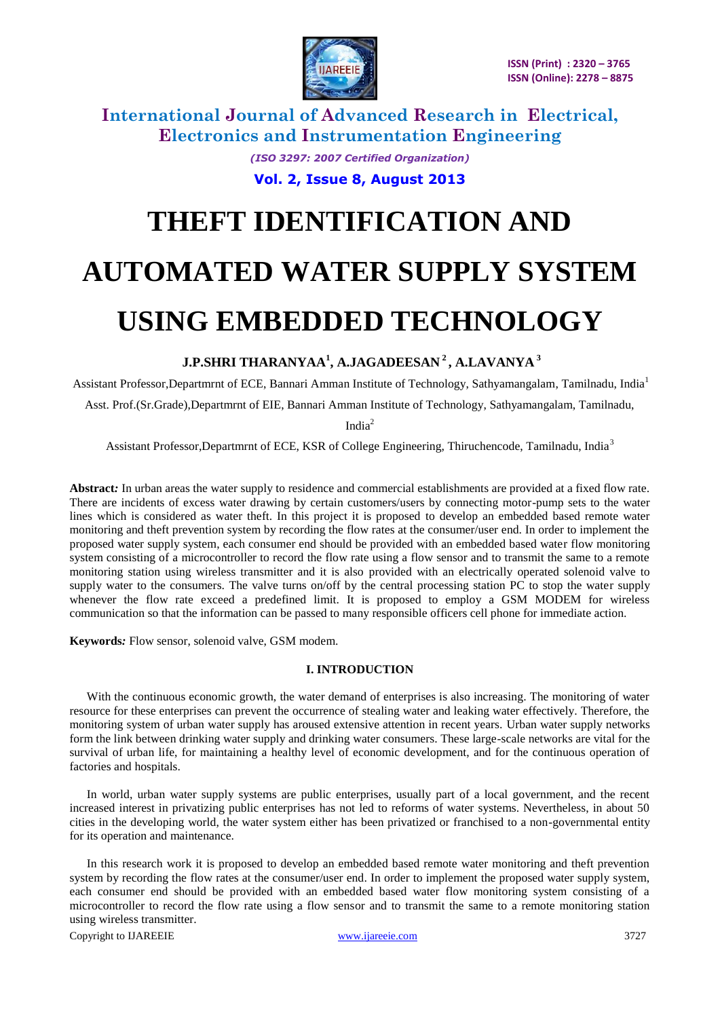

> *(ISO 3297: 2007 Certified Organization)* **Vol. 2, Issue 8, August 2013**

# **THEFT IDENTIFICATION AND AUTOMATED WATER SUPPLY SYSTEM USING EMBEDDED TECHNOLOGY**

## **J.P.SHRI THARANYAA<sup>1</sup> , A.JAGADEESAN <sup>2</sup> , A.LAVANYA <sup>3</sup>**

Assistant Professor,Departmrnt of ECE, Bannari Amman Institute of Technology, Sathyamangalam, Tamilnadu, India<sup>1</sup> Asst. Prof.(Sr.Grade),Departmrnt of EIE, Bannari Amman Institute of Technology, Sathyamangalam, Tamilnadu,

India<sup>2</sup>

Assistant Professor,Departmrnt of ECE, KSR of College Engineering, Thiruchencode, Tamilnadu, India<sup>3</sup>

**Abstract***:* In urban areas the water supply to residence and commercial establishments are provided at a fixed flow rate. There are incidents of excess water drawing by certain customers/users by connecting motor-pump sets to the water lines which is considered as water theft. In this project it is proposed to develop an embedded based remote water monitoring and theft prevention system by recording the flow rates at the consumer/user end. In order to implement the proposed water supply system, each consumer end should be provided with an embedded based water flow monitoring system consisting of a microcontroller to record the flow rate using a flow sensor and to transmit the same to a remote monitoring station using wireless transmitter and it is also provided with an electrically operated solenoid valve to supply water to the consumers. The valve turns on/off by the central processing station PC to stop the water supply whenever the flow rate exceed a predefined limit. It is proposed to employ a GSM MODEM for wireless communication so that the information can be passed to many responsible officers cell phone for immediate action.

**Keywords***:* Flow sensor, solenoid valve, GSM modem.

#### **I. INTRODUCTION**

With the continuous economic growth, the water demand of enterprises is also increasing. The monitoring of water resource for these enterprises can prevent the occurrence of stealing water and leaking water effectively. Therefore, the monitoring system of urban water supply has aroused extensive attention in recent years. Urban water supply networks form the link between drinking water supply and drinking water consumers. These large-scale networks are vital for the survival of urban life, for maintaining a healthy level of economic development, and for the continuous operation of factories and hospitals.

In world, urban water supply systems are public enterprises, usually part of a local government, and the recent increased interest in privatizing public enterprises has not led to reforms of water systems. Nevertheless, in about 50 cities in the developing world, the water system either has been privatized or franchised to a non-governmental entity for its operation and maintenance.

In this research work it is proposed to develop an embedded based remote water monitoring and theft prevention system by recording the flow rates at the consumer/user end. In order to implement the proposed water supply system, each consumer end should be provided with an embedded based water flow monitoring system consisting of a microcontroller to record the flow rate using a flow sensor and to transmit the same to a remote monitoring station using wireless transmitter.

Copyright to IJAREEIE [www.ijareeie.com](http://www.ijareeie.com/) 3727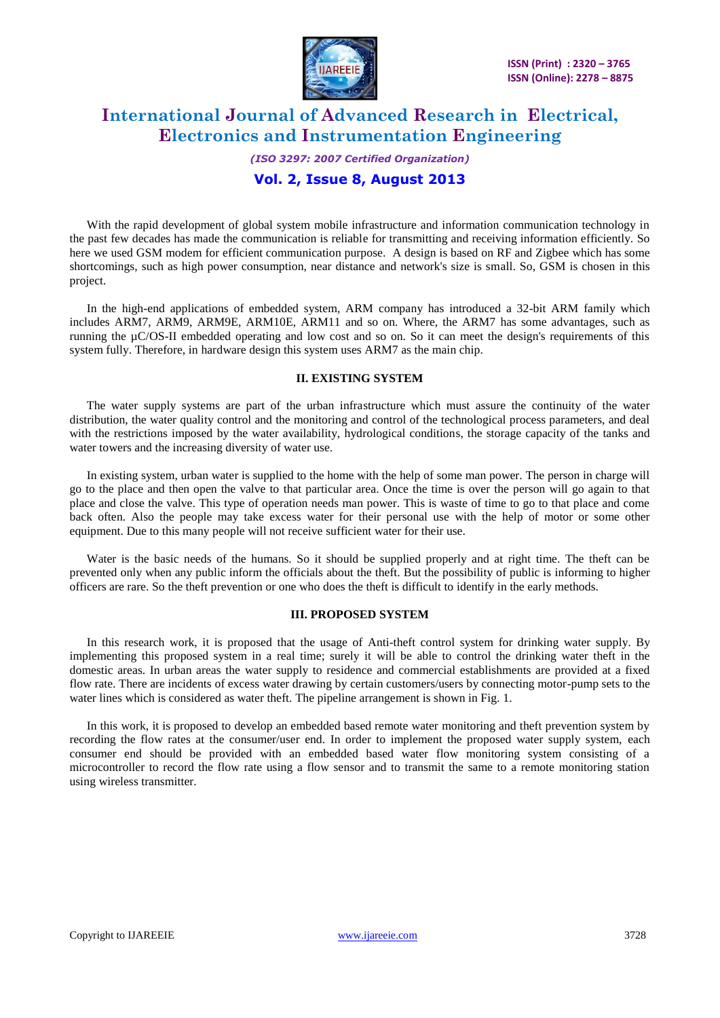

## *(ISO 3297: 2007 Certified Organization)*

## **Vol. 2, Issue 8, August 2013**

With the rapid development of global system mobile infrastructure and information communication technology in the past few decades has made the communication is reliable for transmitting and receiving information efficiently. So here we used GSM modem for efficient communication purpose. A design is based on RF and Zigbee which has some shortcomings, such as high power consumption, near distance and network's size is small. So, GSM is chosen in this project.

In the high-end applications of embedded system, ARM company has introduced a 32-bit ARM family which includes ARM7, ARM9, ARM9E, ARM10E, ARM11 and so on. Where, the ARM7 has some advantages, such as running the µC/OS-II embedded operating and low cost and so on. So it can meet the design's requirements of this system fully. Therefore, in hardware design this system uses ARM7 as the main chip.

### **II. EXISTING SYSTEM**

The water supply systems are part of the urban infrastructure which must assure the continuity of the water distribution, the water quality control and the monitoring and control of the technological process parameters, and deal with the restrictions imposed by the water availability, hydrological conditions, the storage capacity of the tanks and water towers and the increasing diversity of water use.

In existing system, urban water is supplied to the home with the help of some man power. The person in charge will go to the place and then open the valve to that particular area. Once the time is over the person will go again to that place and close the valve. This type of operation needs man power. This is waste of time to go to that place and come back often. Also the people may take excess water for their personal use with the help of motor or some other equipment. Due to this many people will not receive sufficient water for their use.

Water is the basic needs of the humans. So it should be supplied properly and at right time. The theft can be prevented only when any public inform the officials about the theft. But the possibility of public is informing to higher officers are rare. So the theft prevention or one who does the theft is difficult to identify in the early methods.

#### **III. PROPOSED SYSTEM**

In this research work, it is proposed that the usage of Anti-theft control system for drinking water supply. By implementing this proposed system in a real time; surely it will be able to control the drinking water theft in the domestic areas. In urban areas the water supply to residence and commercial establishments are provided at a fixed flow rate. There are incidents of excess water drawing by certain customers/users by connecting motor-pump sets to the water lines which is considered as water theft. The pipeline arrangement is shown in Fig. 1.

In this work, it is proposed to develop an embedded based remote water monitoring and theft prevention system by recording the flow rates at the consumer/user end. In order to implement the proposed water supply system, each consumer end should be provided with an embedded based water flow monitoring system consisting of a microcontroller to record the flow rate using a flow sensor and to transmit the same to a remote monitoring station using wireless transmitter.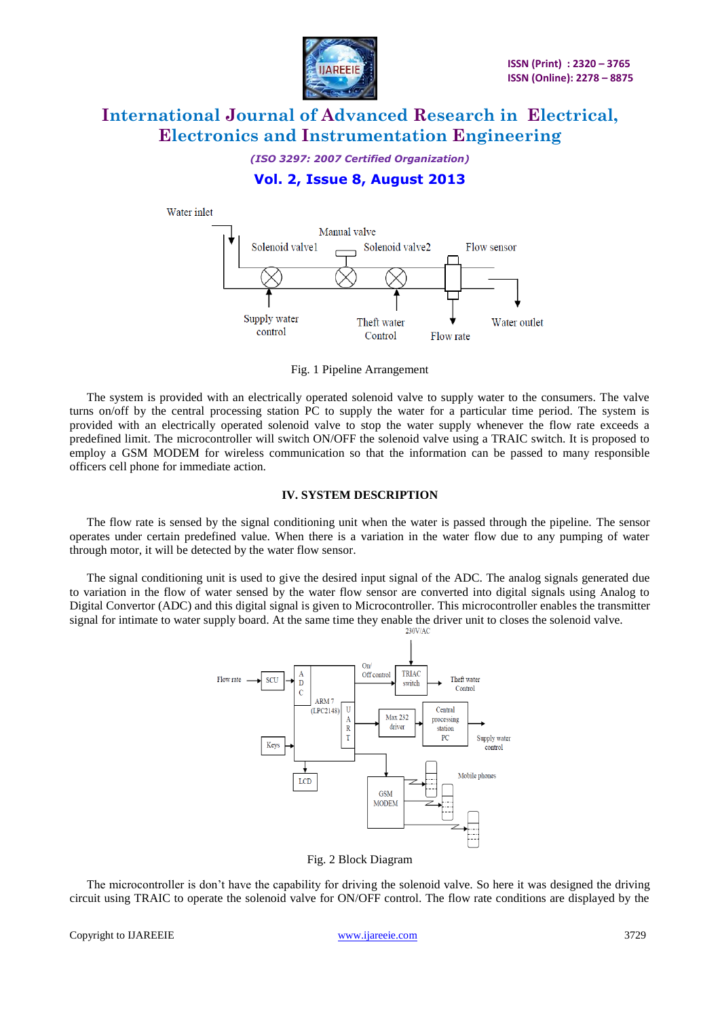

*(ISO 3297: 2007 Certified Organization)*

## **Vol. 2, Issue 8, August 2013**



Fig. 1 Pipeline Arrangement

The system is provided with an electrically operated solenoid valve to supply water to the consumers. The valve turns on/off by the central processing station PC to supply the water for a particular time period. The system is provided with an electrically operated solenoid valve to stop the water supply whenever the flow rate exceeds a predefined limit. The microcontroller will switch ON/OFF the solenoid valve using a TRAIC switch. It is proposed to employ a GSM MODEM for wireless communication so that the information can be passed to many responsible officers cell phone for immediate action.

#### **IV. SYSTEM DESCRIPTION**

The flow rate is sensed by the signal conditioning unit when the water is passed through the pipeline. The sensor operates under certain predefined value. When there is a variation in the water flow due to any pumping of water through motor, it will be detected by the water flow sensor.

The signal conditioning unit is used to give the desired input signal of the ADC. The analog signals generated due to variation in the flow of water sensed by the water flow sensor are converted into digital signals using Analog to Digital Convertor (ADC) and this digital signal is given to Microcontroller. This microcontroller enables the transmitter signal for intimate to water supply board. At the same time they enable the driver unit to closes the solenoid valve.



Fig. 2 Block Diagram

The microcontroller is don't have the capability for driving the solenoid valve. So here it was designed the driving circuit using TRAIC to operate the solenoid valve for ON/OFF control. The flow rate conditions are displayed by the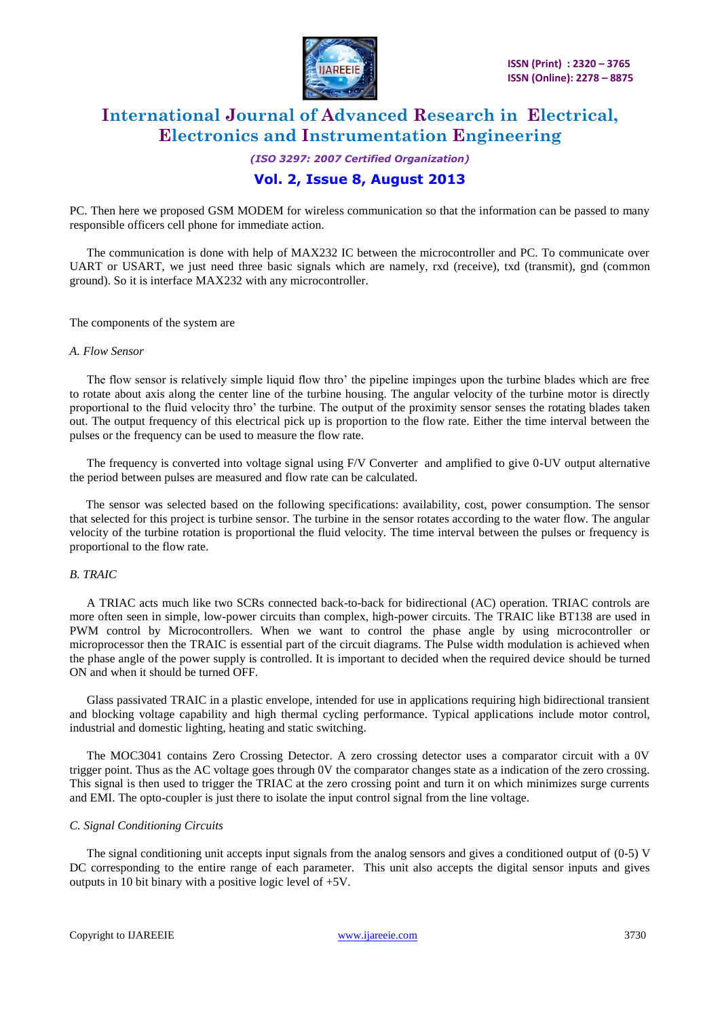

*(ISO 3297: 2007 Certified Organization)* **Vol. 2, Issue 8, August 2013**

PC. Then here we proposed GSM MODEM for wireless communication so that the information can be passed to many responsible officers cell phone for immediate action.

The communication is done with help of MAX232 IC between the microcontroller and PC. To communicate over UART or USART, we just need three basic signals which are namely, rxd (receive), txd (transmit), gnd (common ground). So it is interface MAX232 with any microcontroller.

The components of the system are

#### *A. Flow Sensor*

The flow sensor is relatively simple liquid flow thro' the pipeline impinges upon the turbine blades which are free to rotate about axis along the center line of the turbine housing. The angular velocity of the turbine motor is directly proportional to the fluid velocity thro' the turbine. The output of the proximity sensor senses the rotating blades taken out. The output frequency of this electrical pick up is proportion to the flow rate. Either the time interval between the pulses or the frequency can be used to measure the flow rate.

The frequency is converted into voltage signal using F/V Converter and amplified to give 0-UV output alternative the period between pulses are measured and flow rate can be calculated.

The sensor was selected based on the following specifications: availability, cost, power consumption. The sensor that selected for this project is turbine sensor. The turbine in the sensor rotates according to the water flow. The angular velocity of the turbine rotation is proportional the fluid velocity. The time interval between the pulses or frequency is proportional to the flow rate.

#### *B. TRAIC*

A TRIAC acts much like two SCRs connected back-to-back for bidirectional (AC) operation. TRIAC controls are more often seen in simple, low-power circuits than complex, high-power circuits. The TRAIC like BT138 are used in PWM control by Microcontrollers. When we want to control the phase angle by using microcontroller or microprocessor then the TRAIC is essential part of the circuit diagrams. The Pulse width modulation is achieved when the phase angle of the power supply is controlled. It is important to decided when the required device should be turned ON and when it should be turned OFF.

Glass passivated TRAIC in a plastic envelope, intended for use in applications requiring high bidirectional transient and blocking voltage capability and high thermal cycling performance. Typical applications include motor control, industrial and domestic lighting, heating and static switching.

The MOC3041 contains Zero Crossing Detector. A zero crossing detector uses a comparator circuit with a 0V trigger point. Thus as the AC voltage goes through 0V the comparator changes state as a indication of the zero crossing. This signal is then used to trigger the TRIAC at the zero crossing point and turn it on which minimizes surge currents and EMI. The opto-coupler is just there to isolate the input control signal from the line voltage.

#### *C. Signal Conditioning Circuits*

The signal conditioning unit accepts input signals from the analog sensors and gives a conditioned output of (0-5) V DC corresponding to the entire range of each parameter. This unit also accepts the digital sensor inputs and gives outputs in 10 bit binary with a positive logic level of +5V.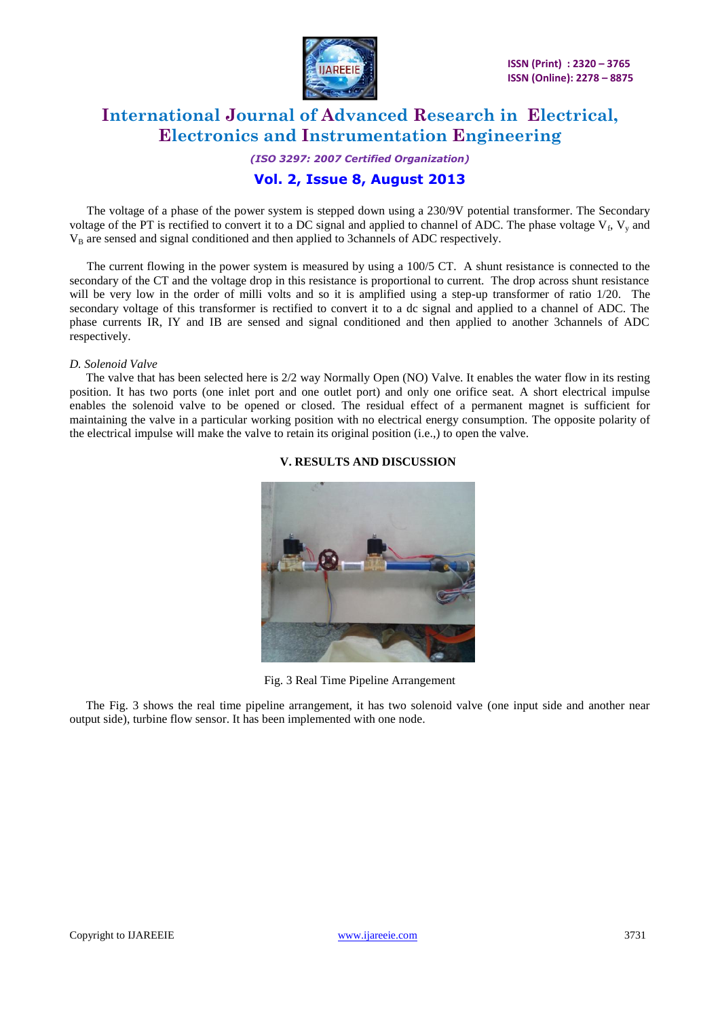

*(ISO 3297: 2007 Certified Organization)*

## **Vol. 2, Issue 8, August 2013**

The voltage of a phase of the power system is stepped down using a 230/9V potential transformer. The Secondary voltage of the PT is rectified to convert it to a DC signal and applied to channel of ADC. The phase voltage  $V_f$ ,  $V_y$  and  $V_B$  are sensed and signal conditioned and then applied to 3channels of ADC respectively.

The current flowing in the power system is measured by using a 100/5 CT. A shunt resistance is connected to the secondary of the CT and the voltage drop in this resistance is proportional to current. The drop across shunt resistance will be very low in the order of milli volts and so it is amplified using a step-up transformer of ratio 1/20. The secondary voltage of this transformer is rectified to convert it to a dc signal and applied to a channel of ADC. The phase currents IR, IY and IB are sensed and signal conditioned and then applied to another 3channels of ADC respectively.

#### *D. Solenoid Valve*

The valve that has been selected here is 2/2 way Normally Open (NO) Valve. It enables the water flow in its resting position. It has two ports (one inlet port and one outlet port) and only one orifice seat. A short electrical impulse enables the solenoid valve to be opened or closed. The residual effect of a permanent magnet is sufficient for maintaining the valve in a particular working position with no electrical energy consumption. The opposite polarity of the electrical impulse will make the valve to retain its original position (i.e.,) to open the valve.

#### **V. RESULTS AND DISCUSSION**



Fig. 3 Real Time Pipeline Arrangement

The Fig. 3 shows the real time pipeline arrangement, it has two solenoid valve (one input side and another near output side), turbine flow sensor. It has been implemented with one node.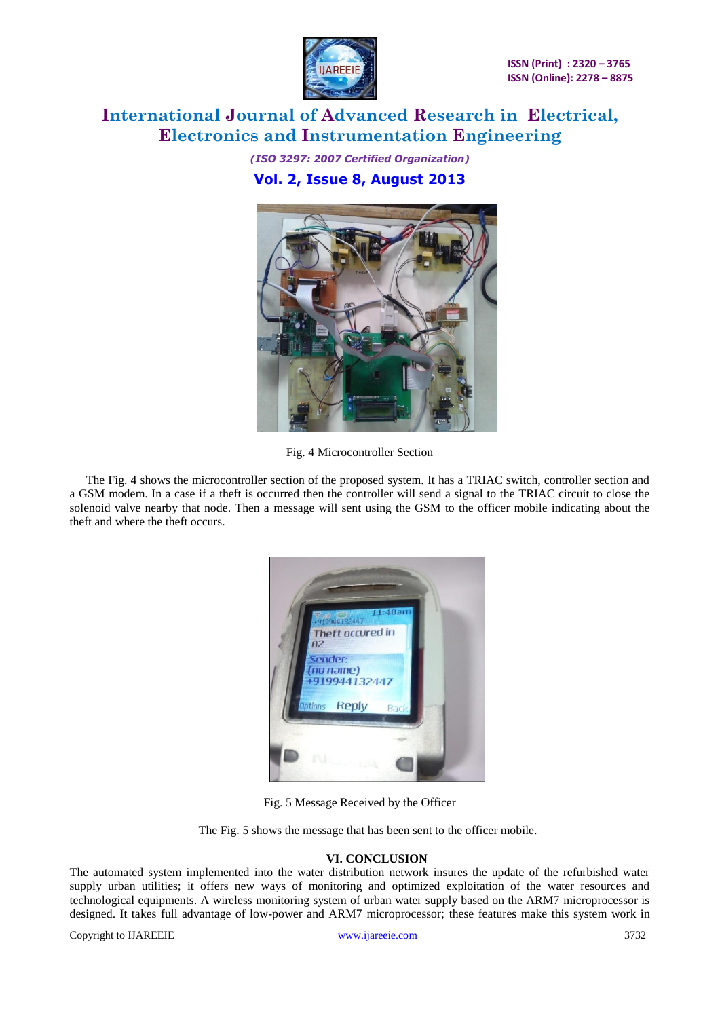

*(ISO 3297: 2007 Certified Organization)* **Vol. 2, Issue 8, August 2013**



Fig. 4 Microcontroller Section

The Fig. 4 shows the microcontroller section of the proposed system. It has a TRIAC switch, controller section and a GSM modem. In a case if a theft is occurred then the controller will send a signal to the TRIAC circuit to close the solenoid valve nearby that node. Then a message will sent using the GSM to the officer mobile indicating about the theft and where the theft occurs.



Fig. 5 Message Received by the Officer

The Fig. 5 shows the message that has been sent to the officer mobile.

#### **VI. CONCLUSION**

The automated system implemented into the water distribution network insures the update of the refurbished water supply urban utilities; it offers new ways of monitoring and optimized exploitation of the water resources and technological equipments. A wireless monitoring system of urban water supply based on the ARM7 microprocessor is designed. It takes full advantage of low-power and ARM7 microprocessor; these features make this system work in

Copyright to IJAREEIE [www.ijareeie.com](http://www.ijareeie.com/) 3732